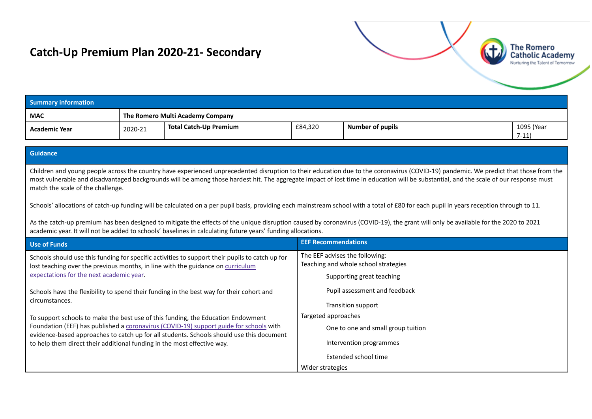# **Catch-Up Premium Plan 2020-21- Secondary**



| <b>Summary information</b> |                                  |                        |         |                         |                      |
|----------------------------|----------------------------------|------------------------|---------|-------------------------|----------------------|
| <b>MAC</b>                 | The Romero Multi Academy Company |                        |         |                         |                      |
| <b>Academic Year</b>       | 2020-21                          | Total Catch-Up Premium | £84,320 | <b>Number of pupils</b> | 1095 (Year<br>$7-11$ |

### **Guidance**

Children and young people across the country have experienced unprecedented disruption to their education due to the coronavirus (COVID-19) pandemic. We predict that those from the most vulnerable and disadvantaged backgrounds will be among those hardest hit. The aggregate impact of lost time in education will be substantial, and the scale of our response must match the scale of the challenge.

Schools' allocations of catch-up funding will be calculated on a per pupil basis, providing each mainstream school with a total of £80 for each pupil in years reception through to 11.

As the catch-up premium has been designed to mitigate the effects of the unique disruption caused by coronavirus (COVID-19), the grant will only be available for the 2020 to 2021 academic year. It will not be added to schools' baselines in calculating future years' funding allocations.

| Use of Funds                                                                                                                                                                       | <b>EEF Recommendations</b>                                             |
|------------------------------------------------------------------------------------------------------------------------------------------------------------------------------------|------------------------------------------------------------------------|
| Schools should use this funding for specific activities to support their pupils to catch up for<br>lost teaching over the previous months, in line with the guidance on curriculum | The EEF advises the following:<br>Teaching and whole school strategies |
| expectations for the next academic year.                                                                                                                                           | Supporting great teaching                                              |
| Schools have the flexibility to spend their funding in the best way for their cohort and                                                                                           | Pupil assessment and feedback                                          |
| circumstances.                                                                                                                                                                     | Transition support                                                     |
| To support schools to make the best use of this funding, the Education Endowment                                                                                                   | Targeted approaches                                                    |
| Foundation (EEF) has published a coronavirus (COVID-19) support guide for schools with<br>evidence-based approaches to catch up for all students. Schools should use this document | One to one and small group tuition                                     |
| to help them direct their additional funding in the most effective way.                                                                                                            | Intervention programmes                                                |
|                                                                                                                                                                                    | Extended school time                                                   |
|                                                                                                                                                                                    | Wider strategies                                                       |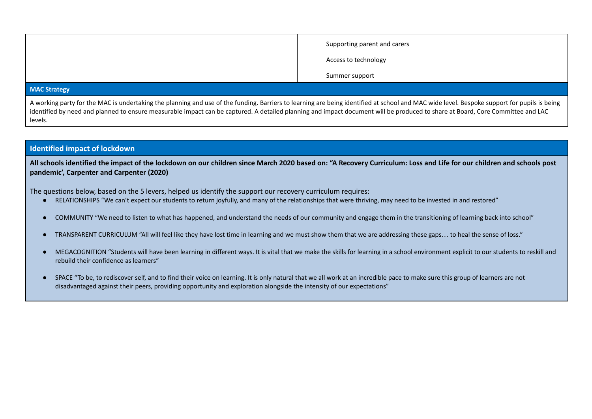| Supporting parent and carers |
|------------------------------|
| Access to technology         |
| Summer support               |

#### **MAC Strategy**

A working party for the MAC is undertaking the planning and use of the funding. Barriers to learning are being identified at school and MAC wide level. Bespoke support for pupils is being identified by need and planned to ensure measurable impact can be captured. A detailed planning and impact document will be produced to share at Board, Core Committee and LAC levels.

## **Identified impact of lockdown**

All schools identified the impact of the lockdown on our children since March 2020 based on: "A Recovery Curriculum: Loss and Life for our children and schools post **pandemic', Carpenter and Carpenter (2020)**

The questions below, based on the 5 levers, helped us identify the support our recovery curriculum requires:

- RELATIONSHIPS "We can't expect our students to return joyfully, and many of the relationships that were thriving, may need to be invested in and restored"
- COMMUNITY "We need to listen to what has happened, and understand the needs of our community and engage them in the transitioning of learning back into school"
- TRANSPARENT CURRICULUM "All will feel like they have lost time in learning and we must show them that we are addressing these gaps… to heal the sense of loss."
- MEGACOGNITION "Students will have been learning in different ways. It is vital that we make the skills for learning in a school environment explicit to our students to reskill and rebuild their confidence as learners"
- SPACE "To be, to rediscover self, and to find their voice on learning. It is only natural that we all work at an incredible pace to make sure this group of learners are not disadvantaged against their peers, providing opportunity and exploration alongside the intensity of our expectations"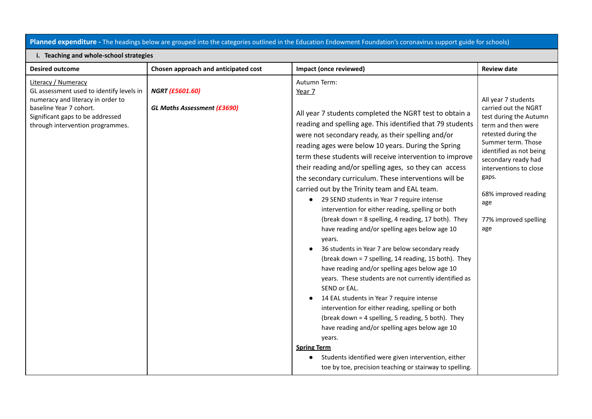## **Planned expenditure -** The headings below are grouped into the categories outlined in the Education Endowment Foundation's coronavirus support guide for schools)

#### **i. Teaching and whole-school strategies**

| <b>Desired outcome</b>                                                                                                                                                                                  | Chosen approach and anticipated cost                         | Impact (once reviewed)                                                                                                                                                                                                                                                                                                                                                                                                                                                                                                                                                                                                                                                                                                                                                                                                                                                                                                                                                                                                                                                                                                                                                                                                                                                                                                            | <b>Review date</b>                                                                                                                                                                                                                                                                           |
|---------------------------------------------------------------------------------------------------------------------------------------------------------------------------------------------------------|--------------------------------------------------------------|-----------------------------------------------------------------------------------------------------------------------------------------------------------------------------------------------------------------------------------------------------------------------------------------------------------------------------------------------------------------------------------------------------------------------------------------------------------------------------------------------------------------------------------------------------------------------------------------------------------------------------------------------------------------------------------------------------------------------------------------------------------------------------------------------------------------------------------------------------------------------------------------------------------------------------------------------------------------------------------------------------------------------------------------------------------------------------------------------------------------------------------------------------------------------------------------------------------------------------------------------------------------------------------------------------------------------------------|----------------------------------------------------------------------------------------------------------------------------------------------------------------------------------------------------------------------------------------------------------------------------------------------|
| Literacy / Numeracy<br>GL assessment used to identify levels in<br>numeracy and literacy in order to<br>baseline Year 7 cohort.<br>Significant gaps to be addressed<br>through intervention programmes. | <b>NGRT (£5601.60)</b><br><b>GL Maths Assessment (£3690)</b> | Autumn Term:<br>Year 7<br>All year 7 students completed the NGRT test to obtain a<br>reading and spelling age. This identified that 79 students<br>were not secondary ready, as their spelling and/or<br>reading ages were below 10 years. During the Spring<br>term these students will receive intervention to improve<br>their reading and/or spelling ages, so they can access<br>the secondary curriculum. These interventions will be<br>carried out by the Trinity team and EAL team.<br>29 SEND students in Year 7 require intense<br>$\bullet$<br>intervention for either reading, spelling or both<br>(break down = 8 spelling, 4 reading, 17 both). They<br>have reading and/or spelling ages below age 10<br>years.<br>36 students in Year 7 are below secondary ready<br>(break down = 7 spelling, 14 reading, 15 both). They<br>have reading and/or spelling ages below age 10<br>years. These students are not currently identified as<br>SEND or EAL.<br>14 EAL students in Year 7 require intense<br>intervention for either reading, spelling or both<br>(break down = 4 spelling, 5 reading, 5 both). They<br>have reading and/or spelling ages below age 10<br>years.<br><b>Spring Term</b><br>Students identified were given intervention, either<br>toe by toe, precision teaching or stairway to spelling. | All year 7 students<br>carried out the NGRT<br>test during the Autumn<br>term and then were<br>retested during the<br>Summer term. Those<br>identified as not being<br>secondary ready had<br>interventions to close<br>gaps.<br>68% improved reading<br>age<br>77% improved spelling<br>age |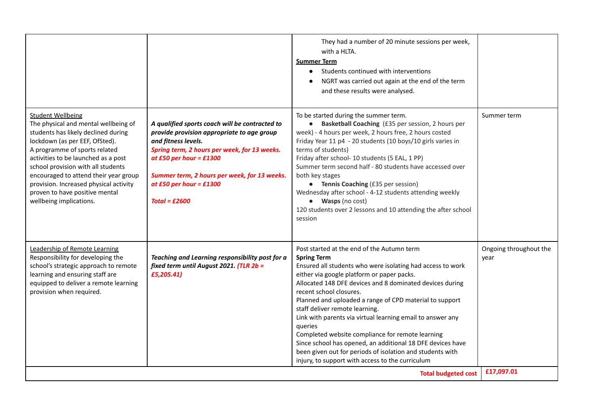|                                                                                                                                                                                                                                                                                                                                                                                                         |                                                                                                                                                                                                                                                                                              | They had a number of 20 minute sessions per week,<br>with a HLTA.<br><b>Summer Term</b><br>Students continued with interventions<br>NGRT was carried out again at the end of the term<br>and these results were analysed.                                                                                                                                                                                                                                                                                                                                                                                                                                                    |                                              |
|---------------------------------------------------------------------------------------------------------------------------------------------------------------------------------------------------------------------------------------------------------------------------------------------------------------------------------------------------------------------------------------------------------|----------------------------------------------------------------------------------------------------------------------------------------------------------------------------------------------------------------------------------------------------------------------------------------------|------------------------------------------------------------------------------------------------------------------------------------------------------------------------------------------------------------------------------------------------------------------------------------------------------------------------------------------------------------------------------------------------------------------------------------------------------------------------------------------------------------------------------------------------------------------------------------------------------------------------------------------------------------------------------|----------------------------------------------|
| <b>Student Wellbeing</b><br>The physical and mental wellbeing of<br>students has likely declined during<br>lockdown (as per EEF, OfSted).<br>A programme of sports related<br>activities to be launched as a post<br>school provision with all students<br>encouraged to attend their year group<br>provision. Increased physical activity<br>proven to have positive mental<br>wellbeing implications. | A qualified sports coach will be contracted to<br>provide provision appropriate to age group<br>and fitness levels.<br>Spring term, 2 hours per week, for 13 weeks.<br>at £50 per hour = £1300<br>Summer term, 2 hours per week, for 13 weeks.<br>at £50 per hour = £1300<br>Total = $£2600$ | To be started during the summer term.<br>Basketball Coaching (£35 per session, 2 hours per<br>$\bullet$<br>week) - 4 hours per week, 2 hours free, 2 hours costed<br>Friday Year 11 p4 - 20 students (10 boys/10 girls varies in<br>terms of students)<br>Friday after school- 10 students (5 EAL, 1 PP)<br>Summer term second half - 80 students have accessed over<br>both key stages<br>• Tennis Coaching (£35 per session)<br>Wednesday after school - 4-12 students attending weekly<br>• Wasps (no cost)<br>120 students over 2 lessons and 10 attending the after school<br>session                                                                                   | Summer term                                  |
| Leadership of Remote Learning<br>Responsibility for developing the<br>school's strategic approach to remote<br>learning and ensuring staff are<br>equipped to deliver a remote learning<br>provision when required.                                                                                                                                                                                     | Teaching and Learning responsibility post for a<br>fixed term until August 2021. (TLR 2b =<br>£5,205.41)                                                                                                                                                                                     | Post started at the end of the Autumn term<br><b>Spring Term</b><br>Ensured all students who were isolating had access to work<br>either via google platform or paper packs.<br>Allocated 148 DFE devices and 8 dominated devices during<br>recent school closures.<br>Planned and uploaded a range of CPD material to support<br>staff deliver remote learning.<br>Link with parents via virtual learning email to answer any<br>queries<br>Completed website compliance for remote learning<br>Since school has opened, an additional 18 DFE devices have<br>been given out for periods of isolation and students with<br>injury, to support with access to the curriculum | Ongoing throughout the<br>year<br>£17,097.01 |
| <b>Total budgeted cost</b>                                                                                                                                                                                                                                                                                                                                                                              |                                                                                                                                                                                                                                                                                              |                                                                                                                                                                                                                                                                                                                                                                                                                                                                                                                                                                                                                                                                              |                                              |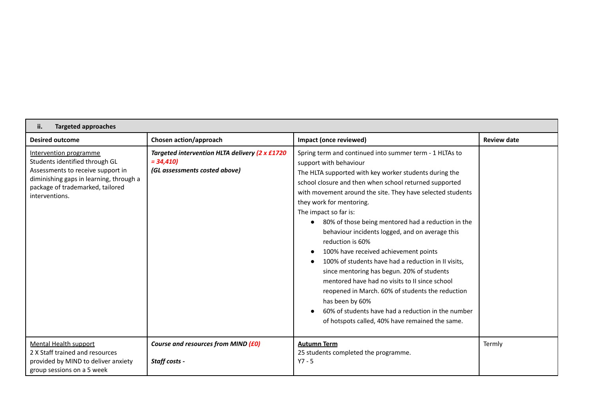| <b>Targeted approaches</b><br>ii.                                                                                                                                                              |                                                                                               |                                                                                                                                                                                                                                                                                                                                                                                                                                                                                                                                                                                                                                                                                                                                                                                                                                         |                    |  |  |
|------------------------------------------------------------------------------------------------------------------------------------------------------------------------------------------------|-----------------------------------------------------------------------------------------------|-----------------------------------------------------------------------------------------------------------------------------------------------------------------------------------------------------------------------------------------------------------------------------------------------------------------------------------------------------------------------------------------------------------------------------------------------------------------------------------------------------------------------------------------------------------------------------------------------------------------------------------------------------------------------------------------------------------------------------------------------------------------------------------------------------------------------------------------|--------------------|--|--|
| <b>Desired outcome</b>                                                                                                                                                                         | Chosen action/approach                                                                        | Impact (once reviewed)                                                                                                                                                                                                                                                                                                                                                                                                                                                                                                                                                                                                                                                                                                                                                                                                                  | <b>Review date</b> |  |  |
| Intervention programme<br>Students identified through GL<br>Assessments to receive support in<br>diminishing gaps in learning, through a<br>package of trademarked, tailored<br>interventions. | Targeted intervention HLTA delivery (2 x £1720<br>$= 34,410$<br>(GL assessments costed above) | Spring term and continued into summer term - 1 HLTAs to<br>support with behaviour<br>The HLTA supported with key worker students during the<br>school closure and then when school returned supported<br>with movement around the site. They have selected students<br>they work for mentoring.<br>The impact so far is:<br>• 80% of those being mentored had a reduction in the<br>behaviour incidents logged, and on average this<br>reduction is 60%<br>100% have received achievement points<br>100% of students have had a reduction in II visits,<br>since mentoring has begun. 20% of students<br>mentored have had no visits to II since school<br>reopened in March. 60% of students the reduction<br>has been by 60%<br>60% of students have had a reduction in the number<br>of hotspots called, 40% have remained the same. |                    |  |  |
| Mental Health support<br>2 X Staff trained and resources<br>provided by MIND to deliver anxiety<br>group sessions on a 5 week                                                                  | Course and resources from MIND (£0)<br>Staff costs -                                          | <b>Autumn Term</b><br>25 students completed the programme.<br>$Y7 - 5$                                                                                                                                                                                                                                                                                                                                                                                                                                                                                                                                                                                                                                                                                                                                                                  | Termly             |  |  |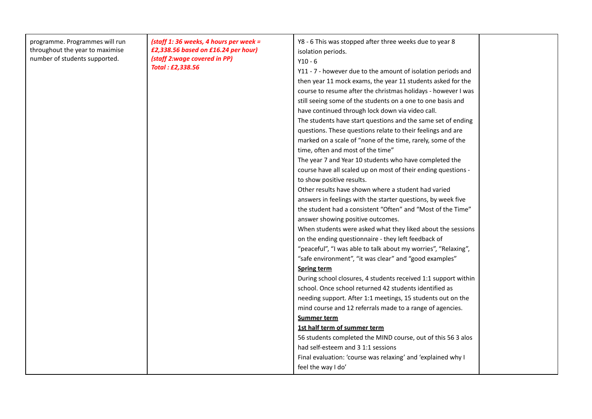| programme. Programmes will run<br>throughout the year to maximise<br>number of students supported. | (staff 1: 36 weeks, 4 hours per week =<br>£2,338.56 based on £16.24 per hour)<br>(staff 2:wage covered in PP)<br>Total: £2,338.56 | Y8 - 6 This was stopped after three weeks due to year 8<br>isolation periods.<br>$Y10 - 6$<br>Y11 - 7 - however due to the amount of isolation periods and<br>then year 11 mock exams, the year 11 students asked for the<br>course to resume after the christmas holidays - however I was<br>still seeing some of the students on a one to one basis and<br>have continued through lock down via video call.<br>The students have start questions and the same set of ending<br>questions. These questions relate to their feelings and are<br>marked on a scale of "none of the time, rarely, some of the<br>time, often and most of the time"<br>The year 7 and Year 10 students who have completed the<br>course have all scaled up on most of their ending questions -<br>to show positive results.<br>Other results have shown where a student had varied<br>answers in feelings with the starter questions, by week five<br>the student had a consistent "Often" and "Most of the Time"<br>answer showing positive outcomes.<br>When students were asked what they liked about the sessions<br>on the ending questionnaire - they left feedback of<br>"peaceful", "I was able to talk about my worries", "Relaxing",<br>"safe environment", "it was clear" and "good examples"<br><b>Spring term</b><br>During school closures, 4 students received 1:1 support within<br>school. Once school returned 42 students identified as<br>needing support. After 1:1 meetings, 15 students out on the<br>mind course and 12 referrals made to a range of agencies.<br><b>Summer term</b><br>1st half term of summer term<br>56 students completed the MIND course, out of this 56 3 alos |  |
|----------------------------------------------------------------------------------------------------|-----------------------------------------------------------------------------------------------------------------------------------|-------------------------------------------------------------------------------------------------------------------------------------------------------------------------------------------------------------------------------------------------------------------------------------------------------------------------------------------------------------------------------------------------------------------------------------------------------------------------------------------------------------------------------------------------------------------------------------------------------------------------------------------------------------------------------------------------------------------------------------------------------------------------------------------------------------------------------------------------------------------------------------------------------------------------------------------------------------------------------------------------------------------------------------------------------------------------------------------------------------------------------------------------------------------------------------------------------------------------------------------------------------------------------------------------------------------------------------------------------------------------------------------------------------------------------------------------------------------------------------------------------------------------------------------------------------------------------------------------------------------------------------------------------------------------------------------|--|
|                                                                                                    |                                                                                                                                   | had self-esteem and 3 1:1 sessions<br>Final evaluation: 'course was relaxing' and 'explained why I<br>feel the way I do'                                                                                                                                                                                                                                                                                                                                                                                                                                                                                                                                                                                                                                                                                                                                                                                                                                                                                                                                                                                                                                                                                                                                                                                                                                                                                                                                                                                                                                                                                                                                                                  |  |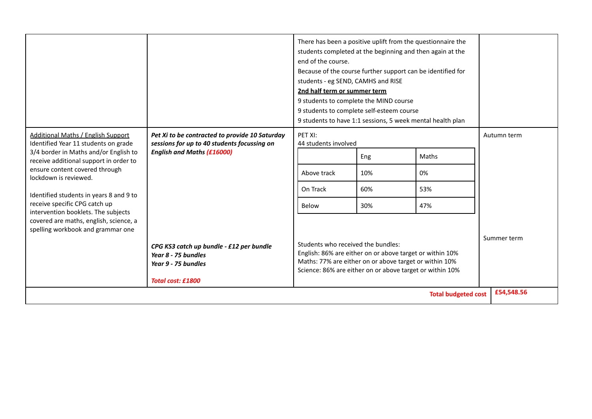|                                                                                                                                                                                                                                                                                                                                                                                                                            |                                                                                                                                    | end of the course.<br>students - eg SEND, CAMHS and RISE<br>2nd half term or summer term                                                                                                                             | There has been a positive uplift from the questionnaire the<br>students completed at the beginning and then again at the<br>Because of the course further support can be identified for<br>9 students to complete the MIND course<br>9 students to complete self-esteem course<br>9 students to have 1:1 sessions, 5 week mental health plan |                            |             |
|----------------------------------------------------------------------------------------------------------------------------------------------------------------------------------------------------------------------------------------------------------------------------------------------------------------------------------------------------------------------------------------------------------------------------|------------------------------------------------------------------------------------------------------------------------------------|----------------------------------------------------------------------------------------------------------------------------------------------------------------------------------------------------------------------|----------------------------------------------------------------------------------------------------------------------------------------------------------------------------------------------------------------------------------------------------------------------------------------------------------------------------------------------|----------------------------|-------------|
| Additional Maths / English Support<br>Identified Year 11 students on grade<br>3/4 border in Maths and/or English to<br>receive additional support in order to<br>ensure content covered through<br>lockdown is reviewed.<br>Identified students in years 8 and 9 to<br>receive specific CPG catch up<br>intervention booklets. The subjects<br>covered are maths, english, science, a<br>spelling workbook and grammar one | Pet Xi to be contracted to provide 10 Saturday<br>sessions for up to 40 students focussing on<br><b>English and Maths (£16000)</b> | PET XI:<br>44 students involved<br>Above track<br>On Track<br>Below                                                                                                                                                  | Eng<br>10%<br>60%<br>30%                                                                                                                                                                                                                                                                                                                     | Maths<br>0%<br>53%<br>47%  | Autumn term |
|                                                                                                                                                                                                                                                                                                                                                                                                                            | CPG KS3 catch up bundle - £12 per bundle<br>Year 8 - 75 bundles<br>Year 9 - 75 bundles<br><b>Total cost: £1800</b>                 | Students who received the bundles:<br>English: 86% are either on or above target or within 10%<br>Maths: 77% are either on or above target or within 10%<br>Science: 86% are either on or above target or within 10% |                                                                                                                                                                                                                                                                                                                                              |                            | Summer term |
|                                                                                                                                                                                                                                                                                                                                                                                                                            |                                                                                                                                    |                                                                                                                                                                                                                      |                                                                                                                                                                                                                                                                                                                                              | <b>Total budgeted cost</b> | £54.548.56  |